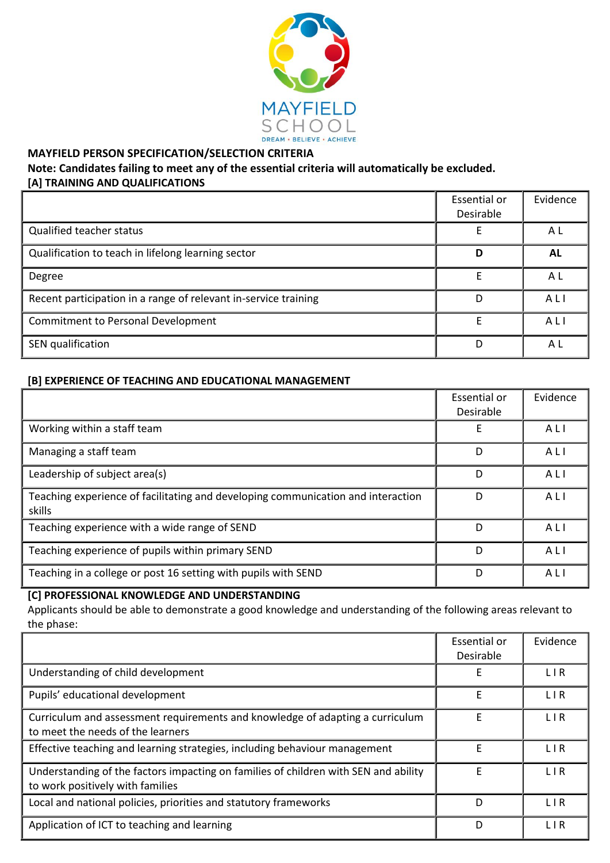

### **MAYFIELD PERSON SPECIFICATION/SELECTION CRITERIA**

## **Note: Candidates failing to meet any of the essential criteria will automatically be excluded. [A] TRAINING AND QUALIFICATIONS**

|                                                                 | Essential or<br>Desirable | Evidence |
|-----------------------------------------------------------------|---------------------------|----------|
| Qualified teacher status                                        |                           | A L      |
| Qualification to teach in lifelong learning sector              | D                         | AL       |
| Degree                                                          | E                         | A L      |
| Recent participation in a range of relevant in-service training | D                         | ALI      |
| <b>Commitment to Personal Development</b>                       | E                         | ALI      |
| SEN qualification                                               | D                         | ΑL       |

## **[B] EXPERIENCE OF TEACHING AND EDUCATIONAL MANAGEMENT**

|                                                                                            | Essential or<br>Desirable | Evidence |
|--------------------------------------------------------------------------------------------|---------------------------|----------|
| Working within a staff team                                                                | Е                         | ALI      |
| Managing a staff team                                                                      | D                         | ALI      |
| Leadership of subject area(s)                                                              | D                         | ALI      |
| Teaching experience of facilitating and developing communication and interaction<br>skills | D                         | ALI      |
| Teaching experience with a wide range of SEND                                              | D                         | ALI      |
| Teaching experience of pupils within primary SEND                                          | D                         | ALI      |
| Teaching in a college or post 16 setting with pupils with SEND                             | D                         | ALI      |

#### **[C] PROFESSIONAL KNOWLEDGE AND UNDERSTANDING**

Applicants should be able to demonstrate a good knowledge and understanding of the following areas relevant to the phase:

|                                                                                                                         | Essential or<br>Desirable | Evidence   |
|-------------------------------------------------------------------------------------------------------------------------|---------------------------|------------|
| Understanding of child development                                                                                      | E                         | <b>LIR</b> |
| Pupils' educational development                                                                                         | E                         | <b>LIR</b> |
| Curriculum and assessment requirements and knowledge of adapting a curriculum<br>to meet the needs of the learners      | F                         | <b>LIR</b> |
| Effective teaching and learning strategies, including behaviour management                                              | E                         | <b>LIR</b> |
| Understanding of the factors impacting on families of children with SEN and ability<br>to work positively with families | F                         | L I R      |
| Local and national policies, priorities and statutory frameworks                                                        | D                         | <b>LIR</b> |
| Application of ICT to teaching and learning                                                                             | D                         | <b>LIR</b> |